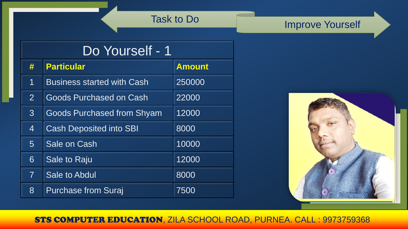# Task to Do **Improve Yourself**

| Do Yourself - 1 |                                   |               |  |
|-----------------|-----------------------------------|---------------|--|
| #               | <b>Particular</b>                 | <b>Amount</b> |  |
| 1               | <b>Business started with Cash</b> | 250000        |  |
| $\overline{2}$  | Goods Purchased on Cash           | 22000         |  |
| 3 <sup>1</sup>  | <b>Goods Purchased from Shyam</b> | 12000         |  |
| $\overline{4}$  | <b>Cash Deposited into SBI</b>    | 8000          |  |
| $5\overline{)}$ | Sale on Cash                      | 10000         |  |
| 6               | Sale to Raju                      | 12000         |  |
| $\overline{7}$  | Sale to Abdul                     | 8000          |  |
| 8               | <b>Purchase from Suraj</b>        | 7500          |  |

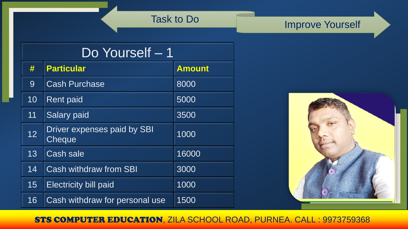# Task to Do **Improve Yourself**

| Do Yourself - 1 |                                       |               |  |
|-----------------|---------------------------------------|---------------|--|
| #               | <b>Particular</b>                     | <b>Amount</b> |  |
| 9               | <b>Cash Purchase</b>                  | 8000          |  |
| 10              | <b>Rent paid</b>                      | 5000          |  |
| 11              | <b>Salary paid</b>                    | 3500          |  |
| 12              | Driver expenses paid by SBI<br>Cheque | 1000          |  |
| 13              | <b>Cash sale</b>                      | 16000         |  |
| 14              | <b>Cash withdraw from SBI</b>         | 3000          |  |
| 15              | <b>Electricity bill paid</b>          | 1000          |  |
| 16              | Cash withdraw for personal use        | 1500          |  |

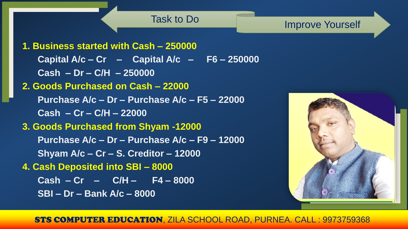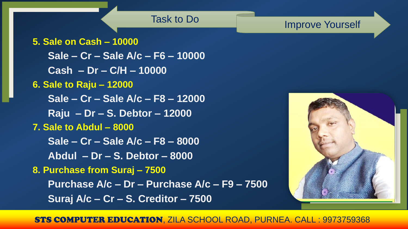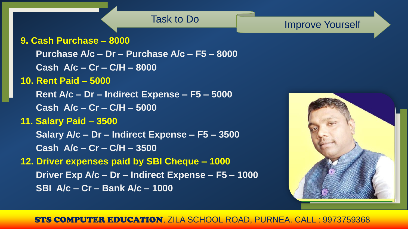